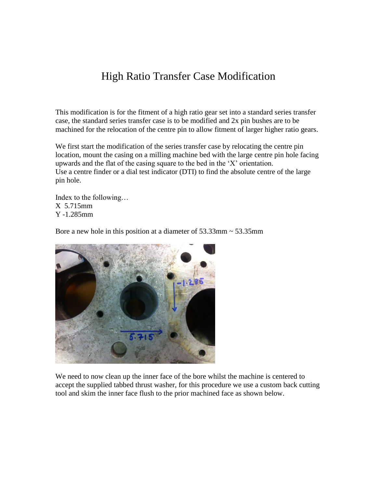## High Ratio Transfer Case Modification

This modification is for the fitment of a high ratio gear set into a standard series transfer case, the standard series transfer case is to be modified and 2x pin bushes are to be machined for the relocation of the centre pin to allow fitment of larger higher ratio gears.

We first start the modification of the series transfer case by relocating the centre pin location, mount the casing on a milling machine bed with the large centre pin hole facing upwards and the flat of the casing square to the bed in the 'X' orientation. Use a centre finder or a dial test indicator (DTI) to find the absolute centre of the large pin hole.

Index to the following… X 5.715mm Y -1.285mm

Bore a new hole in this position at a diameter of 53.33mm ~ 53.35mm



We need to now clean up the inner face of the bore whilst the machine is centered to accept the supplied tabbed thrust washer, for this procedure we use a custom back cutting tool and skim the inner face flush to the prior machined face as shown below.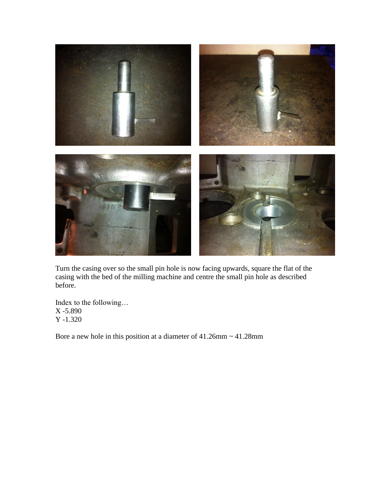

Turn the casing over so the small pin hole is now facing upwards, square the flat of the casing with the bed of the milling machine and centre the small pin hole as described before.

Index to the following… X -5.890 Y -1.320

Bore a new hole in this position at a diameter of  $41.26$ mm  $\sim 41.28$ mm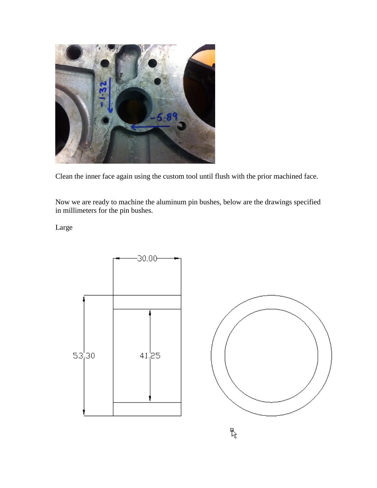

Clean the inner face again using the custom tool until flush with the prior machined face.

Now we are ready to machine the aluminum pin bushes, below are the drawings specified in millimeters for the pin bushes.

Large





 $\mathbb{F}$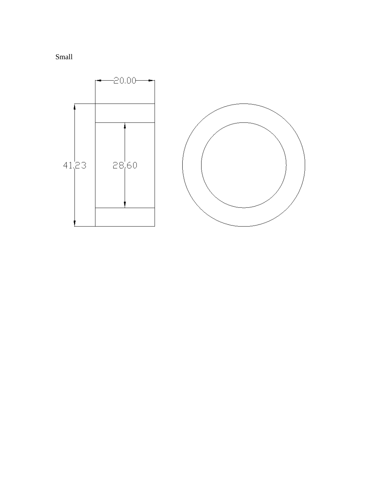

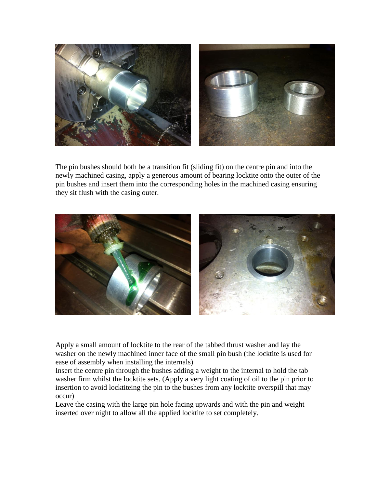

The pin bushes should both be a transition fit (sliding fit) on the centre pin and into the newly machined casing, apply a generous amount of bearing locktite onto the outer of the pin bushes and insert them into the corresponding holes in the machined casing ensuring they sit flush with the casing outer.



Apply a small amount of locktite to the rear of the tabbed thrust washer and lay the washer on the newly machined inner face of the small pin bush (the locktite is used for ease of assembly when installing the internals)

Insert the centre pin through the bushes adding a weight to the internal to hold the tab washer firm whilst the locktite sets. (Apply a very light coating of oil to the pin prior to insertion to avoid locktiteing the pin to the bushes from any locktite overspill that may occur)

Leave the casing with the large pin hole facing upwards and with the pin and weight inserted over night to allow all the applied locktite to set completely.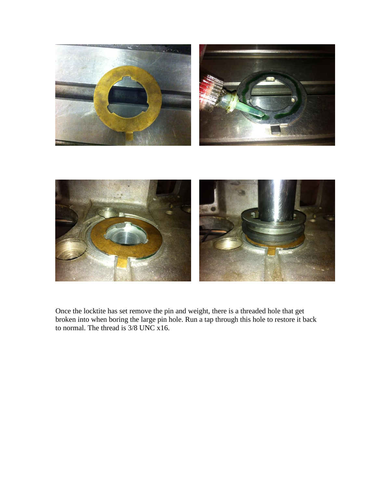

Once the locktite has set remove the pin and weight, there is a threaded hole that get broken into when boring the large pin hole. Run a tap through this hole to restore it back to normal. The thread is 3/8 UNC x16.